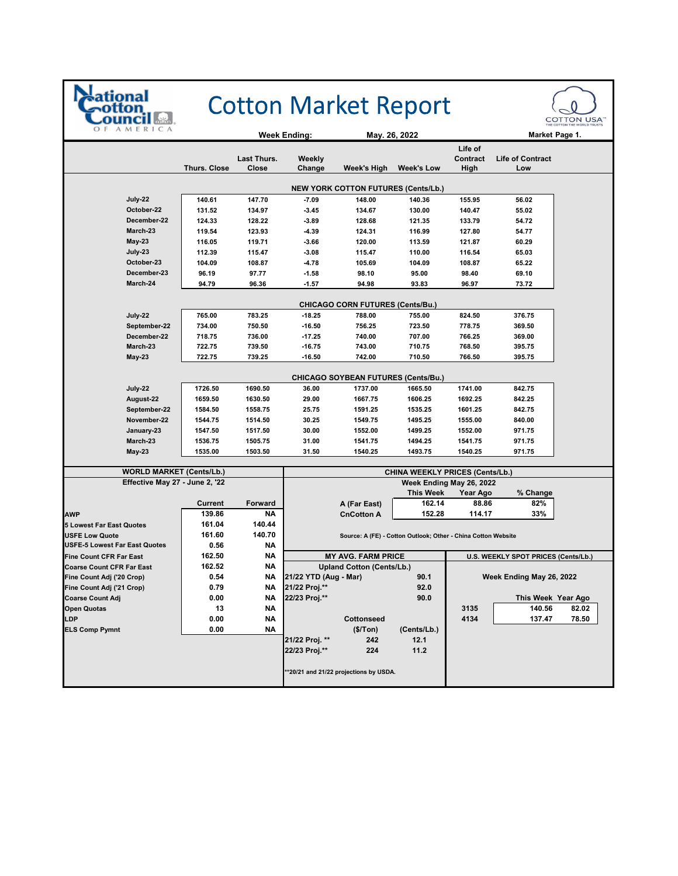

## **Cotton Market Report**



|                                            |                     |             | <b>Week Ending:</b>      |                                            | May. 26, 2022                                                 |                                     | Market Page 1.           |       |
|--------------------------------------------|---------------------|-------------|--------------------------|--------------------------------------------|---------------------------------------------------------------|-------------------------------------|--------------------------|-------|
|                                            |                     |             |                          |                                            |                                                               | Life of                             |                          |       |
|                                            | <b>Thurs. Close</b> | Last Thurs. | Weekly                   |                                            |                                                               | Contract                            | <b>Life of Contract</b>  |       |
|                                            |                     | Close       | Change                   | Week's High                                | <b>Week's Low</b>                                             | High                                | Low                      |       |
| <b>NEW YORK COTTON FUTURES (Cents/Lb.)</b> |                     |             |                          |                                            |                                                               |                                     |                          |       |
| July-22                                    | 140.61              | 147.70      | $-7.09$                  | 148.00                                     | 140.36                                                        | 155.95                              | 56.02                    |       |
| October-22                                 | 131.52              | 134.97      | $-3.45$                  | 134.67                                     | 130.00                                                        | 140.47                              | 55.02                    |       |
| December-22                                | 124.33              | 128.22      | $-3.89$                  | 128.68                                     | 121.35                                                        | 133.79                              | 54.72                    |       |
| March-23                                   | 119.54              | 123.93      | $-4.39$                  | 124.31                                     | 116.99                                                        | 127.80                              | 54.77                    |       |
| <b>May-23</b>                              | 116.05              | 119.71      | $-3.66$                  | 120.00                                     | 113.59                                                        | 121.87                              | 60.29                    |       |
| July-23                                    | 112.39              | 115.47      | $-3.08$                  | 115.47                                     | 110.00                                                        | 116.54                              | 65.03                    |       |
| October-23                                 | 104.09              | 108.87      | $-4.78$                  | 105.69                                     | 104.09                                                        | 108.87                              | 65.22                    |       |
| December-23                                | 96.19               | 97.77       | $-1.58$                  | 98.10                                      | 95.00                                                         | 98.40                               | 69.10                    |       |
| March-24                                   | 94.79               | 96.36       | $-1.57$                  | 94.98                                      | 93.83                                                         | 96.97                               | 73.72                    |       |
|                                            |                     |             |                          |                                            |                                                               |                                     |                          |       |
|                                            |                     |             |                          | <b>CHICAGO CORN FUTURES (Cents/Bu.)</b>    |                                                               |                                     |                          |       |
| July-22                                    | 765.00<br>734.00    | 783.25      | $-18.25$                 | 788.00<br>756.25                           | 755.00                                                        | 824.50                              | 376.75                   |       |
| September-22<br>December-22                |                     | 750.50      | $-16.50$                 |                                            | 723.50                                                        | 778.75                              | 369.50<br>369.00         |       |
|                                            | 718.75              | 736.00      | $-17.25$                 | 740.00                                     | 707.00                                                        | 766.25                              |                          |       |
| March-23                                   | 722.75              | 739.50      | $-16.75$                 | 743.00                                     | 710.75                                                        | 768.50                              | 395.75                   |       |
| <b>May-23</b>                              | 722.75              | 739.25      | $-16.50$                 | 742.00                                     | 710.50                                                        | 766.50                              | 395.75                   |       |
|                                            |                     |             |                          | <b>CHICAGO SOYBEAN FUTURES (Cents/Bu.)</b> |                                                               |                                     |                          |       |
| July 22                                    | 1726.50             | 1690.50     | 36.00                    | 1737.00                                    | 1665.50                                                       | 1741.00                             | 842.75                   |       |
| August-22                                  | 1659.50             | 1630.50     | 29.00                    | 1667.75                                    | 1606.25                                                       | 1692.25                             | 842.25                   |       |
| September-22                               | 1584.50             | 1558.75     | 25.75                    | 1591.25                                    | 1535.25                                                       | 1601.25                             | 842.75                   |       |
| November-22                                | 1544.75             | 1514.50     | 30.25                    | 1549.75                                    | 1495.25                                                       | 1555.00                             | 840.00                   |       |
| January-23                                 | 1547.50             | 1517.50     | 30.00                    | 1552.00                                    | 1499.25                                                       | 1552.00                             | 971.75                   |       |
| March-23                                   | 1536.75             | 1505.75     | 31.00                    | 1541.75                                    | 1494.25                                                       | 1541.75                             | 971.75                   |       |
| <b>May 23</b>                              | 1535.00             | 1503.50     | 31.50                    | 1540.25                                    | 1493.75                                                       | 1540.25                             | 971.75                   |       |
| <b>WORLD MARKET (Cents/Lb.)</b>            |                     |             |                          |                                            | CHINA WEEKLY PRICES (Cents/Lb.)                               |                                     |                          |       |
| Effective May 27 - June 2, '22             |                     |             | Week Ending May 26, 2022 |                                            |                                                               |                                     |                          |       |
|                                            |                     |             |                          |                                            | <b>This Week</b>                                              | Year Ago                            | % Change                 |       |
|                                            | Current             | Forward     |                          | A (Far East)                               | 162.14                                                        | 88.86                               | 82%                      |       |
| <b>AWP</b>                                 | 139.86              | NΑ          |                          | <b>CnCotton A</b>                          | 152.28                                                        | 114.17                              | 33%                      |       |
| <b>5 Lowest Far East Quotes</b>            | 161.04              | 140.44      |                          |                                            |                                                               |                                     |                          |       |
| <b>USFE Low Quote</b>                      | 161.60              | 140.70      |                          |                                            | Source: A (FE) - Cotton Outlook; Other - China Cotton Website |                                     |                          |       |
| <b>USFE-5 Lowest Far East Quotes</b>       | 0.56                | NA          |                          |                                            |                                                               |                                     |                          |       |
| <b>Fine Count CFR Far East</b>             | 162.50              | <b>NA</b>   |                          | <b>MY AVG. FARM PRICE</b>                  |                                                               | U.S. WEEKLY SPOT PRICES (Cents/Lb.) |                          |       |
| <b>Coarse Count CFR Far East</b>           | 162.52              | NΑ          |                          | <b>Upland Cotton (Cents/Lb.)</b>           |                                                               |                                     |                          |       |
| Fine Count Adj ('20 Crop)                  | 0.54                | NΑ          | 21/22 YTD (Aug - Mar)    |                                            | 90.1                                                          |                                     | Week Ending May 26, 2022 |       |
| Fine Count Adj ('21 Crop)                  | 0.79                | ΝA          | 21/22 Proj.**            |                                            | 92.0                                                          |                                     |                          |       |
| <b>Coarse Count Adj</b>                    | 0.00                | <b>NA</b>   | 22/23 Proj.**            |                                            | 90.0                                                          |                                     | This Week Year Ago       |       |
| <b>Open Quotas</b>                         | 13                  | NΑ          |                          |                                            |                                                               | 3135                                | 140.56                   | 82.02 |
| LDP                                        | 0.00                | <b>NA</b>   |                          | Cottonseed                                 |                                                               | 4134                                | 137.47                   | 78.50 |
| <b>ELS Comp Pymnt</b>                      | 0.00                | <b>NA</b>   |                          | (\$/Top)                                   | (Cents/Lb.)                                                   |                                     |                          |       |
|                                            |                     |             | 21/22 Proj. **           | 242                                        | 12.1                                                          |                                     |                          |       |
|                                            |                     |             | 22/23 Proj.**            | 224                                        | 11.2                                                          |                                     |                          |       |
|                                            |                     |             |                          |                                            |                                                               |                                     |                          |       |
|                                            |                     |             |                          | **20/21 and 21/22 projections by USDA.     |                                                               |                                     |                          |       |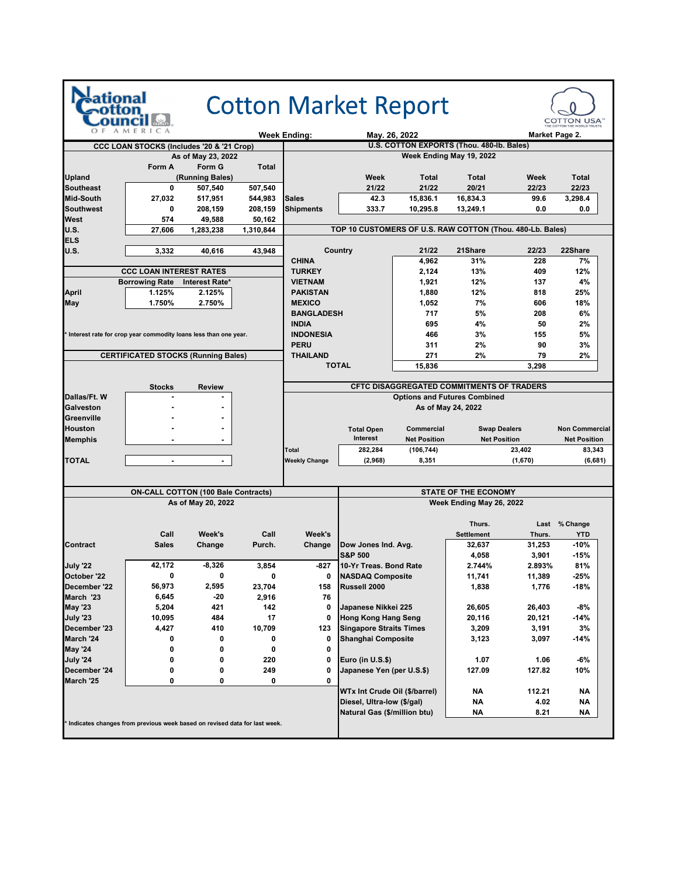| AMERICA<br>O F<br><b>Week Ending:</b><br>May. 26, 2022<br>Market Page 2.<br>U.S. COTTON EXPORTS (Thou. 480-lb. Bales)<br>CCC LOAN STOCKS (Includes '20 & '21 Crop)<br>Week Ending May 19, 2022<br>As of May 23, 2022<br>Form A<br>Form G<br>Total<br><b>Upland</b><br>(Running Bales)<br>Week<br>Total<br>Total<br>Week<br><b>Southeast</b><br>0<br>507,540<br>507,540<br>21/22<br>21/22<br>20/21<br>22/23<br>15,836.1<br><b>Mid-South</b><br>544,983<br><b>Sales</b><br>42.3<br>16,834.3<br>99.6<br>3,298.4<br>27,032<br>517,951<br><b>Shipments</b><br>333.7<br><b>Southwest</b><br>10,295.8<br>13,249.1<br>0.0<br>0<br>208,159<br>208,159<br><b>West</b><br>574<br>49,588<br>50,162<br><b>U.S.</b><br>TOP 10 CUSTOMERS OF U.S. RAW COTTON (Thou. 480-Lb. Bales)<br>1,310,844<br>27,606<br>1,283,238<br><b>ELS</b><br>Country<br>21Share<br>22Share<br><b>U.S.</b><br>3,332<br>21/22<br>22/23<br>40,616<br>43,948<br><b>CHINA</b><br>4,962<br>31%<br>228<br><b>CCC LOAN INTEREST RATES</b><br>13%<br>409<br><b>TURKEY</b><br>2,124<br><b>Borrowing Rate</b><br>Interest Rate*<br>12%<br><b>VIETNAM</b><br>1,921<br>137<br>12%<br><b>April</b><br>1.125%<br>2.125%<br><b>PAKISTAN</b><br>1,880<br>818<br>1.750%<br><b>MEXICO</b><br>7%<br>May<br>2.750%<br>1,052<br>606<br><b>BANGLADESH</b><br>5%<br>717<br>208<br><b>INDIA</b><br>695<br>4%<br>50<br>Interest rate for crop year commodity loans less than one year.<br><b>INDONESIA</b><br>466<br>3%<br>155<br><b>PERU</b><br>311<br>2%<br>90<br><b>CERTIFICATED STOCKS (Running Bales)</b><br><b>THAILAND</b><br>271<br>2%<br>79<br><b>TOTAL</b><br>15,836<br>3,298<br>CFTC DISAGGREGATED COMMITMENTS OF TRADERS<br><b>Stocks</b><br><b>Review</b><br>Dallas/Ft. W<br><b>Options and Futures Combined</b><br><b>Galveston</b><br>As of May 24, 2022<br>Greenville<br><b>Houston</b><br>Commercial<br><b>Swap Dealers</b><br><b>Total Open</b><br>Interest<br><b>Net Position</b><br><b>Net Position</b><br><b>Memphis</b><br>(106, 744)<br>23,402<br>Total<br>282,284<br><b>TOTAL</b><br><b>Weekly Change</b><br>(1,670)<br>(2,968)<br>8,351<br>$\overline{\phantom{a}}$<br>$\blacksquare$<br><b>ON-CALL COTTON (100 Bale Contracts)</b><br><b>STATE OF THE ECONOMY</b><br>As of May 20, 2022<br>Week Ending May 26, 2022<br>Thurs.<br>Last % Change<br>Call<br>Week's<br>Call<br>Week's<br><b>Settlement</b><br>Thurs.<br>YTD<br><b>Contract</b><br><b>Sales</b><br>Change<br>Purch.<br>Change<br>Dow Jones Ind. Avg.<br>32,637<br>31,253<br><b>S&amp;P 500</b><br>3,901<br>4,058<br>July '22<br>42,172<br>10-Yr Treas. Bond Rate<br>$-8,326$<br>3,854<br>-827<br>2.744%<br>2.893%<br>October '22<br><b>NASDAQ Composite</b><br>0<br>0<br>11,741<br>11,389<br>0<br>0<br>56,973<br>December '22<br>2,595<br>Russell 2000<br>23,704<br>158<br>1,838<br>1,776<br>March '23<br>6,645<br>-20<br>2,916<br>76<br><b>May '23</b><br>421<br>26,605<br>26,403<br>5,204<br>142<br>0<br>Japanese Nikkei 225<br><b>July '23</b><br>10,095<br>484<br>17<br><b>Hong Kong Hang Seng</b><br>20,116<br>20,121<br>0<br>December '23<br>410<br>10,709<br><b>Singapore Straits Times</b><br>4,427<br>123<br>3,209<br>3,191<br>March '24<br>0<br>0<br>0<br>Shanghai Composite<br>3,123<br>3,097<br>0<br><b>May '24</b><br>0<br>0<br>0<br>0<br><b>July '24</b><br>0<br>0<br>220<br>0<br>Euro (in U.S.\$)<br>1.07<br>1.06<br>December '24<br>0<br>0<br>Japanese Yen (per U.S.\$)<br>127.09<br>127.82<br>249<br>0<br>March '25<br>0<br>0<br>0<br>0<br>WTx Int Crude Oil (\$/barrel)<br>NΑ<br>112.21<br>NΑ<br>4.02<br>Diesel, Ultra-low (\$/gal) |  |  |  |  | <b>Cotton Market Report</b> |  |  |  | <b>COTTON USA</b> |                       |  |
|------------------------------------------------------------------------------------------------------------------------------------------------------------------------------------------------------------------------------------------------------------------------------------------------------------------------------------------------------------------------------------------------------------------------------------------------------------------------------------------------------------------------------------------------------------------------------------------------------------------------------------------------------------------------------------------------------------------------------------------------------------------------------------------------------------------------------------------------------------------------------------------------------------------------------------------------------------------------------------------------------------------------------------------------------------------------------------------------------------------------------------------------------------------------------------------------------------------------------------------------------------------------------------------------------------------------------------------------------------------------------------------------------------------------------------------------------------------------------------------------------------------------------------------------------------------------------------------------------------------------------------------------------------------------------------------------------------------------------------------------------------------------------------------------------------------------------------------------------------------------------------------------------------------------------------------------------------------------------------------------------------------------------------------------------------------------------------------------------------------------------------------------------------------------------------------------------------------------------------------------------------------------------------------------------------------------------------------------------------------------------------------------------------------------------------------------------------------------------------------------------------------------------------------------------------------------------------------------------------------------------------------------------------------------------------------------------------------------------------------------------------------------------------------------------------------------------------------------------------------------------------------------------------------------------------------------------------------------------------------------------------------------------------------------------------------------------------------------------------------------------------------------------------------------------------------------------------------------------------------------------------------------------------------------------------------------------------------------------------------------------------------------------------------------------------------------------------------------------------------------------------------------------------------------------------------------------|--|--|--|--|-----------------------------|--|--|--|-------------------|-----------------------|--|
|                                                                                                                                                                                                                                                                                                                                                                                                                                                                                                                                                                                                                                                                                                                                                                                                                                                                                                                                                                                                                                                                                                                                                                                                                                                                                                                                                                                                                                                                                                                                                                                                                                                                                                                                                                                                                                                                                                                                                                                                                                                                                                                                                                                                                                                                                                                                                                                                                                                                                                                                                                                                                                                                                                                                                                                                                                                                                                                                                                                                                                                                                                                                                                                                                                                                                                                                                                                                                                                                                                                                                                              |  |  |  |  |                             |  |  |  |                   |                       |  |
|                                                                                                                                                                                                                                                                                                                                                                                                                                                                                                                                                                                                                                                                                                                                                                                                                                                                                                                                                                                                                                                                                                                                                                                                                                                                                                                                                                                                                                                                                                                                                                                                                                                                                                                                                                                                                                                                                                                                                                                                                                                                                                                                                                                                                                                                                                                                                                                                                                                                                                                                                                                                                                                                                                                                                                                                                                                                                                                                                                                                                                                                                                                                                                                                                                                                                                                                                                                                                                                                                                                                                                              |  |  |  |  |                             |  |  |  |                   |                       |  |
|                                                                                                                                                                                                                                                                                                                                                                                                                                                                                                                                                                                                                                                                                                                                                                                                                                                                                                                                                                                                                                                                                                                                                                                                                                                                                                                                                                                                                                                                                                                                                                                                                                                                                                                                                                                                                                                                                                                                                                                                                                                                                                                                                                                                                                                                                                                                                                                                                                                                                                                                                                                                                                                                                                                                                                                                                                                                                                                                                                                                                                                                                                                                                                                                                                                                                                                                                                                                                                                                                                                                                                              |  |  |  |  |                             |  |  |  |                   |                       |  |
|                                                                                                                                                                                                                                                                                                                                                                                                                                                                                                                                                                                                                                                                                                                                                                                                                                                                                                                                                                                                                                                                                                                                                                                                                                                                                                                                                                                                                                                                                                                                                                                                                                                                                                                                                                                                                                                                                                                                                                                                                                                                                                                                                                                                                                                                                                                                                                                                                                                                                                                                                                                                                                                                                                                                                                                                                                                                                                                                                                                                                                                                                                                                                                                                                                                                                                                                                                                                                                                                                                                                                                              |  |  |  |  |                             |  |  |  |                   |                       |  |
|                                                                                                                                                                                                                                                                                                                                                                                                                                                                                                                                                                                                                                                                                                                                                                                                                                                                                                                                                                                                                                                                                                                                                                                                                                                                                                                                                                                                                                                                                                                                                                                                                                                                                                                                                                                                                                                                                                                                                                                                                                                                                                                                                                                                                                                                                                                                                                                                                                                                                                                                                                                                                                                                                                                                                                                                                                                                                                                                                                                                                                                                                                                                                                                                                                                                                                                                                                                                                                                                                                                                                                              |  |  |  |  |                             |  |  |  |                   | <b>Total</b>          |  |
|                                                                                                                                                                                                                                                                                                                                                                                                                                                                                                                                                                                                                                                                                                                                                                                                                                                                                                                                                                                                                                                                                                                                                                                                                                                                                                                                                                                                                                                                                                                                                                                                                                                                                                                                                                                                                                                                                                                                                                                                                                                                                                                                                                                                                                                                                                                                                                                                                                                                                                                                                                                                                                                                                                                                                                                                                                                                                                                                                                                                                                                                                                                                                                                                                                                                                                                                                                                                                                                                                                                                                                              |  |  |  |  |                             |  |  |  |                   | 22/23                 |  |
|                                                                                                                                                                                                                                                                                                                                                                                                                                                                                                                                                                                                                                                                                                                                                                                                                                                                                                                                                                                                                                                                                                                                                                                                                                                                                                                                                                                                                                                                                                                                                                                                                                                                                                                                                                                                                                                                                                                                                                                                                                                                                                                                                                                                                                                                                                                                                                                                                                                                                                                                                                                                                                                                                                                                                                                                                                                                                                                                                                                                                                                                                                                                                                                                                                                                                                                                                                                                                                                                                                                                                                              |  |  |  |  |                             |  |  |  |                   |                       |  |
|                                                                                                                                                                                                                                                                                                                                                                                                                                                                                                                                                                                                                                                                                                                                                                                                                                                                                                                                                                                                                                                                                                                                                                                                                                                                                                                                                                                                                                                                                                                                                                                                                                                                                                                                                                                                                                                                                                                                                                                                                                                                                                                                                                                                                                                                                                                                                                                                                                                                                                                                                                                                                                                                                                                                                                                                                                                                                                                                                                                                                                                                                                                                                                                                                                                                                                                                                                                                                                                                                                                                                                              |  |  |  |  |                             |  |  |  |                   | 0.0                   |  |
|                                                                                                                                                                                                                                                                                                                                                                                                                                                                                                                                                                                                                                                                                                                                                                                                                                                                                                                                                                                                                                                                                                                                                                                                                                                                                                                                                                                                                                                                                                                                                                                                                                                                                                                                                                                                                                                                                                                                                                                                                                                                                                                                                                                                                                                                                                                                                                                                                                                                                                                                                                                                                                                                                                                                                                                                                                                                                                                                                                                                                                                                                                                                                                                                                                                                                                                                                                                                                                                                                                                                                                              |  |  |  |  |                             |  |  |  |                   |                       |  |
|                                                                                                                                                                                                                                                                                                                                                                                                                                                                                                                                                                                                                                                                                                                                                                                                                                                                                                                                                                                                                                                                                                                                                                                                                                                                                                                                                                                                                                                                                                                                                                                                                                                                                                                                                                                                                                                                                                                                                                                                                                                                                                                                                                                                                                                                                                                                                                                                                                                                                                                                                                                                                                                                                                                                                                                                                                                                                                                                                                                                                                                                                                                                                                                                                                                                                                                                                                                                                                                                                                                                                                              |  |  |  |  |                             |  |  |  |                   |                       |  |
|                                                                                                                                                                                                                                                                                                                                                                                                                                                                                                                                                                                                                                                                                                                                                                                                                                                                                                                                                                                                                                                                                                                                                                                                                                                                                                                                                                                                                                                                                                                                                                                                                                                                                                                                                                                                                                                                                                                                                                                                                                                                                                                                                                                                                                                                                                                                                                                                                                                                                                                                                                                                                                                                                                                                                                                                                                                                                                                                                                                                                                                                                                                                                                                                                                                                                                                                                                                                                                                                                                                                                                              |  |  |  |  |                             |  |  |  |                   |                       |  |
|                                                                                                                                                                                                                                                                                                                                                                                                                                                                                                                                                                                                                                                                                                                                                                                                                                                                                                                                                                                                                                                                                                                                                                                                                                                                                                                                                                                                                                                                                                                                                                                                                                                                                                                                                                                                                                                                                                                                                                                                                                                                                                                                                                                                                                                                                                                                                                                                                                                                                                                                                                                                                                                                                                                                                                                                                                                                                                                                                                                                                                                                                                                                                                                                                                                                                                                                                                                                                                                                                                                                                                              |  |  |  |  |                             |  |  |  |                   | 7%                    |  |
|                                                                                                                                                                                                                                                                                                                                                                                                                                                                                                                                                                                                                                                                                                                                                                                                                                                                                                                                                                                                                                                                                                                                                                                                                                                                                                                                                                                                                                                                                                                                                                                                                                                                                                                                                                                                                                                                                                                                                                                                                                                                                                                                                                                                                                                                                                                                                                                                                                                                                                                                                                                                                                                                                                                                                                                                                                                                                                                                                                                                                                                                                                                                                                                                                                                                                                                                                                                                                                                                                                                                                                              |  |  |  |  |                             |  |  |  |                   | 12%                   |  |
|                                                                                                                                                                                                                                                                                                                                                                                                                                                                                                                                                                                                                                                                                                                                                                                                                                                                                                                                                                                                                                                                                                                                                                                                                                                                                                                                                                                                                                                                                                                                                                                                                                                                                                                                                                                                                                                                                                                                                                                                                                                                                                                                                                                                                                                                                                                                                                                                                                                                                                                                                                                                                                                                                                                                                                                                                                                                                                                                                                                                                                                                                                                                                                                                                                                                                                                                                                                                                                                                                                                                                                              |  |  |  |  |                             |  |  |  |                   | 4%                    |  |
|                                                                                                                                                                                                                                                                                                                                                                                                                                                                                                                                                                                                                                                                                                                                                                                                                                                                                                                                                                                                                                                                                                                                                                                                                                                                                                                                                                                                                                                                                                                                                                                                                                                                                                                                                                                                                                                                                                                                                                                                                                                                                                                                                                                                                                                                                                                                                                                                                                                                                                                                                                                                                                                                                                                                                                                                                                                                                                                                                                                                                                                                                                                                                                                                                                                                                                                                                                                                                                                                                                                                                                              |  |  |  |  |                             |  |  |  |                   | 25%                   |  |
|                                                                                                                                                                                                                                                                                                                                                                                                                                                                                                                                                                                                                                                                                                                                                                                                                                                                                                                                                                                                                                                                                                                                                                                                                                                                                                                                                                                                                                                                                                                                                                                                                                                                                                                                                                                                                                                                                                                                                                                                                                                                                                                                                                                                                                                                                                                                                                                                                                                                                                                                                                                                                                                                                                                                                                                                                                                                                                                                                                                                                                                                                                                                                                                                                                                                                                                                                                                                                                                                                                                                                                              |  |  |  |  |                             |  |  |  |                   | 18%                   |  |
|                                                                                                                                                                                                                                                                                                                                                                                                                                                                                                                                                                                                                                                                                                                                                                                                                                                                                                                                                                                                                                                                                                                                                                                                                                                                                                                                                                                                                                                                                                                                                                                                                                                                                                                                                                                                                                                                                                                                                                                                                                                                                                                                                                                                                                                                                                                                                                                                                                                                                                                                                                                                                                                                                                                                                                                                                                                                                                                                                                                                                                                                                                                                                                                                                                                                                                                                                                                                                                                                                                                                                                              |  |  |  |  |                             |  |  |  |                   | 6%                    |  |
|                                                                                                                                                                                                                                                                                                                                                                                                                                                                                                                                                                                                                                                                                                                                                                                                                                                                                                                                                                                                                                                                                                                                                                                                                                                                                                                                                                                                                                                                                                                                                                                                                                                                                                                                                                                                                                                                                                                                                                                                                                                                                                                                                                                                                                                                                                                                                                                                                                                                                                                                                                                                                                                                                                                                                                                                                                                                                                                                                                                                                                                                                                                                                                                                                                                                                                                                                                                                                                                                                                                                                                              |  |  |  |  |                             |  |  |  |                   | 2%                    |  |
|                                                                                                                                                                                                                                                                                                                                                                                                                                                                                                                                                                                                                                                                                                                                                                                                                                                                                                                                                                                                                                                                                                                                                                                                                                                                                                                                                                                                                                                                                                                                                                                                                                                                                                                                                                                                                                                                                                                                                                                                                                                                                                                                                                                                                                                                                                                                                                                                                                                                                                                                                                                                                                                                                                                                                                                                                                                                                                                                                                                                                                                                                                                                                                                                                                                                                                                                                                                                                                                                                                                                                                              |  |  |  |  |                             |  |  |  |                   | 5%                    |  |
|                                                                                                                                                                                                                                                                                                                                                                                                                                                                                                                                                                                                                                                                                                                                                                                                                                                                                                                                                                                                                                                                                                                                                                                                                                                                                                                                                                                                                                                                                                                                                                                                                                                                                                                                                                                                                                                                                                                                                                                                                                                                                                                                                                                                                                                                                                                                                                                                                                                                                                                                                                                                                                                                                                                                                                                                                                                                                                                                                                                                                                                                                                                                                                                                                                                                                                                                                                                                                                                                                                                                                                              |  |  |  |  |                             |  |  |  |                   | 3%                    |  |
|                                                                                                                                                                                                                                                                                                                                                                                                                                                                                                                                                                                                                                                                                                                                                                                                                                                                                                                                                                                                                                                                                                                                                                                                                                                                                                                                                                                                                                                                                                                                                                                                                                                                                                                                                                                                                                                                                                                                                                                                                                                                                                                                                                                                                                                                                                                                                                                                                                                                                                                                                                                                                                                                                                                                                                                                                                                                                                                                                                                                                                                                                                                                                                                                                                                                                                                                                                                                                                                                                                                                                                              |  |  |  |  |                             |  |  |  |                   | 2%                    |  |
|                                                                                                                                                                                                                                                                                                                                                                                                                                                                                                                                                                                                                                                                                                                                                                                                                                                                                                                                                                                                                                                                                                                                                                                                                                                                                                                                                                                                                                                                                                                                                                                                                                                                                                                                                                                                                                                                                                                                                                                                                                                                                                                                                                                                                                                                                                                                                                                                                                                                                                                                                                                                                                                                                                                                                                                                                                                                                                                                                                                                                                                                                                                                                                                                                                                                                                                                                                                                                                                                                                                                                                              |  |  |  |  |                             |  |  |  |                   |                       |  |
|                                                                                                                                                                                                                                                                                                                                                                                                                                                                                                                                                                                                                                                                                                                                                                                                                                                                                                                                                                                                                                                                                                                                                                                                                                                                                                                                                                                                                                                                                                                                                                                                                                                                                                                                                                                                                                                                                                                                                                                                                                                                                                                                                                                                                                                                                                                                                                                                                                                                                                                                                                                                                                                                                                                                                                                                                                                                                                                                                                                                                                                                                                                                                                                                                                                                                                                                                                                                                                                                                                                                                                              |  |  |  |  |                             |  |  |  |                   |                       |  |
|                                                                                                                                                                                                                                                                                                                                                                                                                                                                                                                                                                                                                                                                                                                                                                                                                                                                                                                                                                                                                                                                                                                                                                                                                                                                                                                                                                                                                                                                                                                                                                                                                                                                                                                                                                                                                                                                                                                                                                                                                                                                                                                                                                                                                                                                                                                                                                                                                                                                                                                                                                                                                                                                                                                                                                                                                                                                                                                                                                                                                                                                                                                                                                                                                                                                                                                                                                                                                                                                                                                                                                              |  |  |  |  |                             |  |  |  |                   |                       |  |
|                                                                                                                                                                                                                                                                                                                                                                                                                                                                                                                                                                                                                                                                                                                                                                                                                                                                                                                                                                                                                                                                                                                                                                                                                                                                                                                                                                                                                                                                                                                                                                                                                                                                                                                                                                                                                                                                                                                                                                                                                                                                                                                                                                                                                                                                                                                                                                                                                                                                                                                                                                                                                                                                                                                                                                                                                                                                                                                                                                                                                                                                                                                                                                                                                                                                                                                                                                                                                                                                                                                                                                              |  |  |  |  |                             |  |  |  |                   |                       |  |
|                                                                                                                                                                                                                                                                                                                                                                                                                                                                                                                                                                                                                                                                                                                                                                                                                                                                                                                                                                                                                                                                                                                                                                                                                                                                                                                                                                                                                                                                                                                                                                                                                                                                                                                                                                                                                                                                                                                                                                                                                                                                                                                                                                                                                                                                                                                                                                                                                                                                                                                                                                                                                                                                                                                                                                                                                                                                                                                                                                                                                                                                                                                                                                                                                                                                                                                                                                                                                                                                                                                                                                              |  |  |  |  |                             |  |  |  |                   |                       |  |
|                                                                                                                                                                                                                                                                                                                                                                                                                                                                                                                                                                                                                                                                                                                                                                                                                                                                                                                                                                                                                                                                                                                                                                                                                                                                                                                                                                                                                                                                                                                                                                                                                                                                                                                                                                                                                                                                                                                                                                                                                                                                                                                                                                                                                                                                                                                                                                                                                                                                                                                                                                                                                                                                                                                                                                                                                                                                                                                                                                                                                                                                                                                                                                                                                                                                                                                                                                                                                                                                                                                                                                              |  |  |  |  |                             |  |  |  |                   | <b>Non Commercial</b> |  |
|                                                                                                                                                                                                                                                                                                                                                                                                                                                                                                                                                                                                                                                                                                                                                                                                                                                                                                                                                                                                                                                                                                                                                                                                                                                                                                                                                                                                                                                                                                                                                                                                                                                                                                                                                                                                                                                                                                                                                                                                                                                                                                                                                                                                                                                                                                                                                                                                                                                                                                                                                                                                                                                                                                                                                                                                                                                                                                                                                                                                                                                                                                                                                                                                                                                                                                                                                                                                                                                                                                                                                                              |  |  |  |  |                             |  |  |  |                   | <b>Net Position</b>   |  |
|                                                                                                                                                                                                                                                                                                                                                                                                                                                                                                                                                                                                                                                                                                                                                                                                                                                                                                                                                                                                                                                                                                                                                                                                                                                                                                                                                                                                                                                                                                                                                                                                                                                                                                                                                                                                                                                                                                                                                                                                                                                                                                                                                                                                                                                                                                                                                                                                                                                                                                                                                                                                                                                                                                                                                                                                                                                                                                                                                                                                                                                                                                                                                                                                                                                                                                                                                                                                                                                                                                                                                                              |  |  |  |  |                             |  |  |  |                   | 83,343                |  |
|                                                                                                                                                                                                                                                                                                                                                                                                                                                                                                                                                                                                                                                                                                                                                                                                                                                                                                                                                                                                                                                                                                                                                                                                                                                                                                                                                                                                                                                                                                                                                                                                                                                                                                                                                                                                                                                                                                                                                                                                                                                                                                                                                                                                                                                                                                                                                                                                                                                                                                                                                                                                                                                                                                                                                                                                                                                                                                                                                                                                                                                                                                                                                                                                                                                                                                                                                                                                                                                                                                                                                                              |  |  |  |  |                             |  |  |  |                   | (6,681)               |  |
|                                                                                                                                                                                                                                                                                                                                                                                                                                                                                                                                                                                                                                                                                                                                                                                                                                                                                                                                                                                                                                                                                                                                                                                                                                                                                                                                                                                                                                                                                                                                                                                                                                                                                                                                                                                                                                                                                                                                                                                                                                                                                                                                                                                                                                                                                                                                                                                                                                                                                                                                                                                                                                                                                                                                                                                                                                                                                                                                                                                                                                                                                                                                                                                                                                                                                                                                                                                                                                                                                                                                                                              |  |  |  |  |                             |  |  |  |                   |                       |  |
|                                                                                                                                                                                                                                                                                                                                                                                                                                                                                                                                                                                                                                                                                                                                                                                                                                                                                                                                                                                                                                                                                                                                                                                                                                                                                                                                                                                                                                                                                                                                                                                                                                                                                                                                                                                                                                                                                                                                                                                                                                                                                                                                                                                                                                                                                                                                                                                                                                                                                                                                                                                                                                                                                                                                                                                                                                                                                                                                                                                                                                                                                                                                                                                                                                                                                                                                                                                                                                                                                                                                                                              |  |  |  |  |                             |  |  |  |                   |                       |  |
|                                                                                                                                                                                                                                                                                                                                                                                                                                                                                                                                                                                                                                                                                                                                                                                                                                                                                                                                                                                                                                                                                                                                                                                                                                                                                                                                                                                                                                                                                                                                                                                                                                                                                                                                                                                                                                                                                                                                                                                                                                                                                                                                                                                                                                                                                                                                                                                                                                                                                                                                                                                                                                                                                                                                                                                                                                                                                                                                                                                                                                                                                                                                                                                                                                                                                                                                                                                                                                                                                                                                                                              |  |  |  |  |                             |  |  |  |                   |                       |  |
|                                                                                                                                                                                                                                                                                                                                                                                                                                                                                                                                                                                                                                                                                                                                                                                                                                                                                                                                                                                                                                                                                                                                                                                                                                                                                                                                                                                                                                                                                                                                                                                                                                                                                                                                                                                                                                                                                                                                                                                                                                                                                                                                                                                                                                                                                                                                                                                                                                                                                                                                                                                                                                                                                                                                                                                                                                                                                                                                                                                                                                                                                                                                                                                                                                                                                                                                                                                                                                                                                                                                                                              |  |  |  |  |                             |  |  |  |                   |                       |  |
|                                                                                                                                                                                                                                                                                                                                                                                                                                                                                                                                                                                                                                                                                                                                                                                                                                                                                                                                                                                                                                                                                                                                                                                                                                                                                                                                                                                                                                                                                                                                                                                                                                                                                                                                                                                                                                                                                                                                                                                                                                                                                                                                                                                                                                                                                                                                                                                                                                                                                                                                                                                                                                                                                                                                                                                                                                                                                                                                                                                                                                                                                                                                                                                                                                                                                                                                                                                                                                                                                                                                                                              |  |  |  |  |                             |  |  |  |                   |                       |  |
|                                                                                                                                                                                                                                                                                                                                                                                                                                                                                                                                                                                                                                                                                                                                                                                                                                                                                                                                                                                                                                                                                                                                                                                                                                                                                                                                                                                                                                                                                                                                                                                                                                                                                                                                                                                                                                                                                                                                                                                                                                                                                                                                                                                                                                                                                                                                                                                                                                                                                                                                                                                                                                                                                                                                                                                                                                                                                                                                                                                                                                                                                                                                                                                                                                                                                                                                                                                                                                                                                                                                                                              |  |  |  |  |                             |  |  |  |                   |                       |  |
|                                                                                                                                                                                                                                                                                                                                                                                                                                                                                                                                                                                                                                                                                                                                                                                                                                                                                                                                                                                                                                                                                                                                                                                                                                                                                                                                                                                                                                                                                                                                                                                                                                                                                                                                                                                                                                                                                                                                                                                                                                                                                                                                                                                                                                                                                                                                                                                                                                                                                                                                                                                                                                                                                                                                                                                                                                                                                                                                                                                                                                                                                                                                                                                                                                                                                                                                                                                                                                                                                                                                                                              |  |  |  |  |                             |  |  |  |                   | -10%                  |  |
|                                                                                                                                                                                                                                                                                                                                                                                                                                                                                                                                                                                                                                                                                                                                                                                                                                                                                                                                                                                                                                                                                                                                                                                                                                                                                                                                                                                                                                                                                                                                                                                                                                                                                                                                                                                                                                                                                                                                                                                                                                                                                                                                                                                                                                                                                                                                                                                                                                                                                                                                                                                                                                                                                                                                                                                                                                                                                                                                                                                                                                                                                                                                                                                                                                                                                                                                                                                                                                                                                                                                                                              |  |  |  |  |                             |  |  |  |                   | $-15%$                |  |
|                                                                                                                                                                                                                                                                                                                                                                                                                                                                                                                                                                                                                                                                                                                                                                                                                                                                                                                                                                                                                                                                                                                                                                                                                                                                                                                                                                                                                                                                                                                                                                                                                                                                                                                                                                                                                                                                                                                                                                                                                                                                                                                                                                                                                                                                                                                                                                                                                                                                                                                                                                                                                                                                                                                                                                                                                                                                                                                                                                                                                                                                                                                                                                                                                                                                                                                                                                                                                                                                                                                                                                              |  |  |  |  |                             |  |  |  |                   | 81%                   |  |
|                                                                                                                                                                                                                                                                                                                                                                                                                                                                                                                                                                                                                                                                                                                                                                                                                                                                                                                                                                                                                                                                                                                                                                                                                                                                                                                                                                                                                                                                                                                                                                                                                                                                                                                                                                                                                                                                                                                                                                                                                                                                                                                                                                                                                                                                                                                                                                                                                                                                                                                                                                                                                                                                                                                                                                                                                                                                                                                                                                                                                                                                                                                                                                                                                                                                                                                                                                                                                                                                                                                                                                              |  |  |  |  |                             |  |  |  |                   | $-25%$                |  |
|                                                                                                                                                                                                                                                                                                                                                                                                                                                                                                                                                                                                                                                                                                                                                                                                                                                                                                                                                                                                                                                                                                                                                                                                                                                                                                                                                                                                                                                                                                                                                                                                                                                                                                                                                                                                                                                                                                                                                                                                                                                                                                                                                                                                                                                                                                                                                                                                                                                                                                                                                                                                                                                                                                                                                                                                                                                                                                                                                                                                                                                                                                                                                                                                                                                                                                                                                                                                                                                                                                                                                                              |  |  |  |  |                             |  |  |  |                   | $-18%$                |  |
|                                                                                                                                                                                                                                                                                                                                                                                                                                                                                                                                                                                                                                                                                                                                                                                                                                                                                                                                                                                                                                                                                                                                                                                                                                                                                                                                                                                                                                                                                                                                                                                                                                                                                                                                                                                                                                                                                                                                                                                                                                                                                                                                                                                                                                                                                                                                                                                                                                                                                                                                                                                                                                                                                                                                                                                                                                                                                                                                                                                                                                                                                                                                                                                                                                                                                                                                                                                                                                                                                                                                                                              |  |  |  |  |                             |  |  |  |                   |                       |  |
|                                                                                                                                                                                                                                                                                                                                                                                                                                                                                                                                                                                                                                                                                                                                                                                                                                                                                                                                                                                                                                                                                                                                                                                                                                                                                                                                                                                                                                                                                                                                                                                                                                                                                                                                                                                                                                                                                                                                                                                                                                                                                                                                                                                                                                                                                                                                                                                                                                                                                                                                                                                                                                                                                                                                                                                                                                                                                                                                                                                                                                                                                                                                                                                                                                                                                                                                                                                                                                                                                                                                                                              |  |  |  |  |                             |  |  |  |                   | -8%                   |  |
|                                                                                                                                                                                                                                                                                                                                                                                                                                                                                                                                                                                                                                                                                                                                                                                                                                                                                                                                                                                                                                                                                                                                                                                                                                                                                                                                                                                                                                                                                                                                                                                                                                                                                                                                                                                                                                                                                                                                                                                                                                                                                                                                                                                                                                                                                                                                                                                                                                                                                                                                                                                                                                                                                                                                                                                                                                                                                                                                                                                                                                                                                                                                                                                                                                                                                                                                                                                                                                                                                                                                                                              |  |  |  |  |                             |  |  |  |                   | -14%                  |  |
|                                                                                                                                                                                                                                                                                                                                                                                                                                                                                                                                                                                                                                                                                                                                                                                                                                                                                                                                                                                                                                                                                                                                                                                                                                                                                                                                                                                                                                                                                                                                                                                                                                                                                                                                                                                                                                                                                                                                                                                                                                                                                                                                                                                                                                                                                                                                                                                                                                                                                                                                                                                                                                                                                                                                                                                                                                                                                                                                                                                                                                                                                                                                                                                                                                                                                                                                                                                                                                                                                                                                                                              |  |  |  |  |                             |  |  |  |                   | 3%                    |  |
|                                                                                                                                                                                                                                                                                                                                                                                                                                                                                                                                                                                                                                                                                                                                                                                                                                                                                                                                                                                                                                                                                                                                                                                                                                                                                                                                                                                                                                                                                                                                                                                                                                                                                                                                                                                                                                                                                                                                                                                                                                                                                                                                                                                                                                                                                                                                                                                                                                                                                                                                                                                                                                                                                                                                                                                                                                                                                                                                                                                                                                                                                                                                                                                                                                                                                                                                                                                                                                                                                                                                                                              |  |  |  |  |                             |  |  |  |                   | -14%                  |  |
|                                                                                                                                                                                                                                                                                                                                                                                                                                                                                                                                                                                                                                                                                                                                                                                                                                                                                                                                                                                                                                                                                                                                                                                                                                                                                                                                                                                                                                                                                                                                                                                                                                                                                                                                                                                                                                                                                                                                                                                                                                                                                                                                                                                                                                                                                                                                                                                                                                                                                                                                                                                                                                                                                                                                                                                                                                                                                                                                                                                                                                                                                                                                                                                                                                                                                                                                                                                                                                                                                                                                                                              |  |  |  |  |                             |  |  |  |                   |                       |  |
|                                                                                                                                                                                                                                                                                                                                                                                                                                                                                                                                                                                                                                                                                                                                                                                                                                                                                                                                                                                                                                                                                                                                                                                                                                                                                                                                                                                                                                                                                                                                                                                                                                                                                                                                                                                                                                                                                                                                                                                                                                                                                                                                                                                                                                                                                                                                                                                                                                                                                                                                                                                                                                                                                                                                                                                                                                                                                                                                                                                                                                                                                                                                                                                                                                                                                                                                                                                                                                                                                                                                                                              |  |  |  |  |                             |  |  |  |                   | -6%                   |  |
|                                                                                                                                                                                                                                                                                                                                                                                                                                                                                                                                                                                                                                                                                                                                                                                                                                                                                                                                                                                                                                                                                                                                                                                                                                                                                                                                                                                                                                                                                                                                                                                                                                                                                                                                                                                                                                                                                                                                                                                                                                                                                                                                                                                                                                                                                                                                                                                                                                                                                                                                                                                                                                                                                                                                                                                                                                                                                                                                                                                                                                                                                                                                                                                                                                                                                                                                                                                                                                                                                                                                                                              |  |  |  |  |                             |  |  |  |                   | 10%                   |  |
|                                                                                                                                                                                                                                                                                                                                                                                                                                                                                                                                                                                                                                                                                                                                                                                                                                                                                                                                                                                                                                                                                                                                                                                                                                                                                                                                                                                                                                                                                                                                                                                                                                                                                                                                                                                                                                                                                                                                                                                                                                                                                                                                                                                                                                                                                                                                                                                                                                                                                                                                                                                                                                                                                                                                                                                                                                                                                                                                                                                                                                                                                                                                                                                                                                                                                                                                                                                                                                                                                                                                                                              |  |  |  |  |                             |  |  |  |                   |                       |  |
|                                                                                                                                                                                                                                                                                                                                                                                                                                                                                                                                                                                                                                                                                                                                                                                                                                                                                                                                                                                                                                                                                                                                                                                                                                                                                                                                                                                                                                                                                                                                                                                                                                                                                                                                                                                                                                                                                                                                                                                                                                                                                                                                                                                                                                                                                                                                                                                                                                                                                                                                                                                                                                                                                                                                                                                                                                                                                                                                                                                                                                                                                                                                                                                                                                                                                                                                                                                                                                                                                                                                                                              |  |  |  |  |                             |  |  |  |                   | ΝA                    |  |
| Natural Gas (\$/million btu)<br>NΑ<br>8.21                                                                                                                                                                                                                                                                                                                                                                                                                                                                                                                                                                                                                                                                                                                                                                                                                                                                                                                                                                                                                                                                                                                                                                                                                                                                                                                                                                                                                                                                                                                                                                                                                                                                                                                                                                                                                                                                                                                                                                                                                                                                                                                                                                                                                                                                                                                                                                                                                                                                                                                                                                                                                                                                                                                                                                                                                                                                                                                                                                                                                                                                                                                                                                                                                                                                                                                                                                                                                                                                                                                                   |  |  |  |  |                             |  |  |  |                   | ΝA<br>ΝA              |  |
| Indicates changes from previous week based on revised data for last week.                                                                                                                                                                                                                                                                                                                                                                                                                                                                                                                                                                                                                                                                                                                                                                                                                                                                                                                                                                                                                                                                                                                                                                                                                                                                                                                                                                                                                                                                                                                                                                                                                                                                                                                                                                                                                                                                                                                                                                                                                                                                                                                                                                                                                                                                                                                                                                                                                                                                                                                                                                                                                                                                                                                                                                                                                                                                                                                                                                                                                                                                                                                                                                                                                                                                                                                                                                                                                                                                                                    |  |  |  |  |                             |  |  |  |                   |                       |  |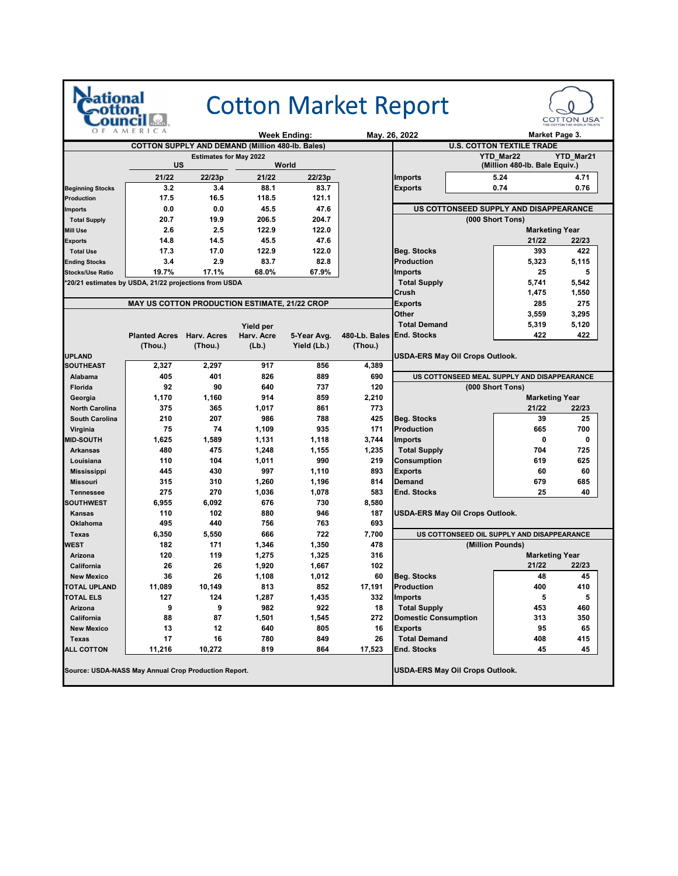|                                                       | AMERICA                                              |                               |            | Week Ending: |                           | <b>Cotton Market Report</b><br>May. 26, 2022 | Market Page 3.                   | <b>COTTON USA®</b> |  |
|-------------------------------------------------------|------------------------------------------------------|-------------------------------|------------|--------------|---------------------------|----------------------------------------------|----------------------------------|--------------------|--|
|                                                       | COTTON SUPPLY AND DEMAND (Million 480-lb. Bales)     |                               |            |              |                           |                                              | <b>U.S. COTTON TEXTILE TRADE</b> |                    |  |
|                                                       |                                                      | <b>Estimates for May 2022</b> |            |              |                           |                                              | <b>YTD Mar22</b>                 | YTD_Mar21          |  |
|                                                       | US                                                   |                               |            | World        |                           |                                              | (Million 480-lb. Bale Equiv.)    |                    |  |
|                                                       | 21/22                                                | 22/23p                        | 21/22      | 22/23p       |                           | <b>Imports</b>                               | 5.24                             | 4.71               |  |
| <b>Beginning Stocks</b>                               | 3.2                                                  | 3.4                           | 88.1       | 83.7         |                           | <b>Exports</b>                               | 0.74                             | 0.76               |  |
| Production                                            | 17.5                                                 | 16.5                          | 118.5      | 121.1        |                           |                                              |                                  |                    |  |
| <b>Imports</b>                                        | 0.0                                                  | 0.0                           | 45.5       | 47.6         |                           | US COTTONSEED SUPPLY AND DISAPPEARANCE       |                                  |                    |  |
| <b>Total Supply</b>                                   | 20.7                                                 | 19.9                          | 206.5      | 204.7        |                           |                                              | (000 Short Tons)                 |                    |  |
| <b>Mill Use</b>                                       | 2.6                                                  | 2.5                           | 122.9      | 122.0        |                           |                                              | <b>Marketing Year</b>            |                    |  |
| <b>Exports</b>                                        | 14.8                                                 | 14.5                          | 45.5       | 47.6         |                           |                                              | 21/22                            | 22/23              |  |
| <b>Total Use</b>                                      | 17.3                                                 | 17.0                          | 122.9      | 122.0        |                           | <b>Beg. Stocks</b>                           | 393                              | 422                |  |
| <b>Ending Stocks</b>                                  | 3.4                                                  | 2.9                           | 83.7       | 82.8         |                           | <b>Production</b>                            | 5,323                            | 5,115              |  |
| <b>Stocks/Use Ratio</b>                               | 19.7%                                                | 17.1%                         | 68.0%      | 67.9%        |                           | <b>Imports</b>                               | 25                               | 5                  |  |
| *20/21 estimates by USDA, 21/22 projections from USDA |                                                      |                               |            |              |                           | <b>Total Supply</b>                          | 5,741                            | 5,542              |  |
|                                                       |                                                      |                               |            |              |                           | Crush                                        | 1,475                            | 1,550              |  |
|                                                       | <b>MAY US COTTON PRODUCTION ESTIMATE, 21/22 CROP</b> |                               |            |              |                           | <b>Exports</b>                               | 285                              | 275                |  |
|                                                       |                                                      |                               |            |              |                           | Other                                        | 3,559                            | 3,295              |  |
|                                                       |                                                      |                               | Yield per  |              |                           | <b>Total Demand</b>                          | 5,319                            | 5,120              |  |
|                                                       | <b>Planted Acres</b>                                 | Harv. Acres                   | Harv. Acre | 5-Year Avg.  | 480-Lb. Bales End. Stocks |                                              | 422                              | 422                |  |
|                                                       | (Thou.)                                              | (Thou.)                       | (Lb.)      | Yield (Lb.)  | (Thou.)                   |                                              |                                  |                    |  |
| <b>UPLAND</b>                                         |                                                      |                               |            |              |                           | <b>USDA-ERS May Oil Crops Outlook.</b>       |                                  |                    |  |
| <b>SOUTHEAST</b>                                      | 2,327                                                | 2,297                         | 917        | 856          | 4,389                     |                                              |                                  |                    |  |
| Alabama                                               | 405                                                  | 401                           | 826        | 889          | 690                       | US COTTONSEED MEAL SUPPLY AND DISAPPEARANCE  |                                  |                    |  |
| Florida                                               | 92                                                   | 90                            | 640        | 737          | 120                       |                                              | (000 Short Tons)                 |                    |  |
| Georgia                                               | 1,170                                                | 1,160                         | 914        | 859          | 2,210                     |                                              | <b>Marketing Year</b>            |                    |  |
| <b>North Carolina</b>                                 | 375                                                  | 365                           | 1,017      | 861          | 773                       |                                              | 21/22                            | 22/23              |  |
| <b>South Carolina</b>                                 | 210                                                  | 207                           | 986        | 788          | 425                       | Beg. Stocks                                  | 39                               | 25                 |  |
| Virginia                                              | 75                                                   | 74                            | 1,109      | 935          | 171                       | Production                                   | 665                              | 700                |  |
| <b>MID-SOUTH</b>                                      | 1,625                                                | 1,589                         | 1,131      | 1,118        | 3,744                     | Imports                                      | 0                                | 0                  |  |
| <b>Arkansas</b>                                       | 480                                                  | 475                           | 1,248      | 1,155        | 1,235                     | <b>Total Supply</b>                          | 704                              | 725                |  |
| Louisiana                                             | 110                                                  | 104                           | 1,011      | 990          | 219                       | Consumption                                  | 619                              | 625                |  |
| <b>Mississippi</b>                                    | 445                                                  | 430                           | 997        | 1,110        | 893                       | Exports                                      | 60                               | 60                 |  |
| <b>Missouri</b>                                       | 315                                                  | 310                           | 1,260      | 1,196        | 814                       | <b>Demand</b>                                | 679                              | 685                |  |
| <b>Tennessee</b>                                      | 275                                                  | 270                           | 1,036      | 1,078        | 583                       | <b>End. Stocks</b>                           | 25                               | 40                 |  |
| <b>SOUTHWEST</b>                                      | 6,955                                                | 6,092                         | 676        | 730          | 8,580                     |                                              |                                  |                    |  |
| <b>Kansas</b>                                         | 110                                                  | 102                           | 880        | 946          | 187                       | USDA-ERS May Oil Crops Outlook.              |                                  |                    |  |
| Oklahoma                                              | 495                                                  | 440                           | 756        | 763          | 693                       |                                              |                                  |                    |  |
| Texas                                                 | 6,350                                                | 5,550                         | 666        | 722          | 7,700                     | US COTTONSEED OIL SUPPLY AND DISAPPEARANCE   |                                  |                    |  |
| WEST                                                  | 182                                                  | 171                           | 1,346      | 1,350        | 478                       |                                              | (Million Pounds)                 |                    |  |
| Arizona                                               | 120                                                  | 119                           | 1,275      | 1,325        | 316                       |                                              | <b>Marketing Year</b>            |                    |  |
| California                                            | 26                                                   | 26                            | 1,920      | 1,667        | 102                       |                                              | 21/22                            | 22/23              |  |
| <b>New Mexico</b>                                     | 36                                                   | 26                            | 1,108      | 1,012        | 60                        | <b>Beg. Stocks</b>                           | 48                               | 45                 |  |
| <b>TOTAL UPLAND</b>                                   | 11,089                                               | 10,149                        | 813        | 852          | 17,191                    | <b>Production</b>                            | 400                              | 410                |  |
| <b>TOTAL ELS</b>                                      | 127                                                  | 124                           | 1,287      | 1,435        | 332                       | <b>Imports</b>                               | 5                                | 5                  |  |
| Arizona                                               | 9                                                    | 9                             | 982        | 922          | 18                        | <b>Total Supply</b>                          | 453                              | 460                |  |
| California                                            | 88                                                   | 87                            | 1,501      | 1,545        | 272                       | <b>Domestic Consumption</b>                  | 313                              | 350                |  |
| <b>New Mexico</b>                                     | 13                                                   | 12                            | 640        | 805          | 16                        | <b>Exports</b>                               | 95                               | 65                 |  |
| <b>Texas</b>                                          | 17                                                   | 16                            | 780        | 849          | 26                        | <b>Total Demand</b>                          | 408                              | 415                |  |
| <b>ALL COTTON</b>                                     | 11,216                                               | 10,272                        | 819        | 864          | 17,523                    | End. Stocks                                  | 45                               | 45                 |  |
| Source: USDA-NASS May Annual Crop Production Report.  |                                                      |                               |            |              |                           | USDA-ERS May Oil Crops Outlook.              |                                  |                    |  |